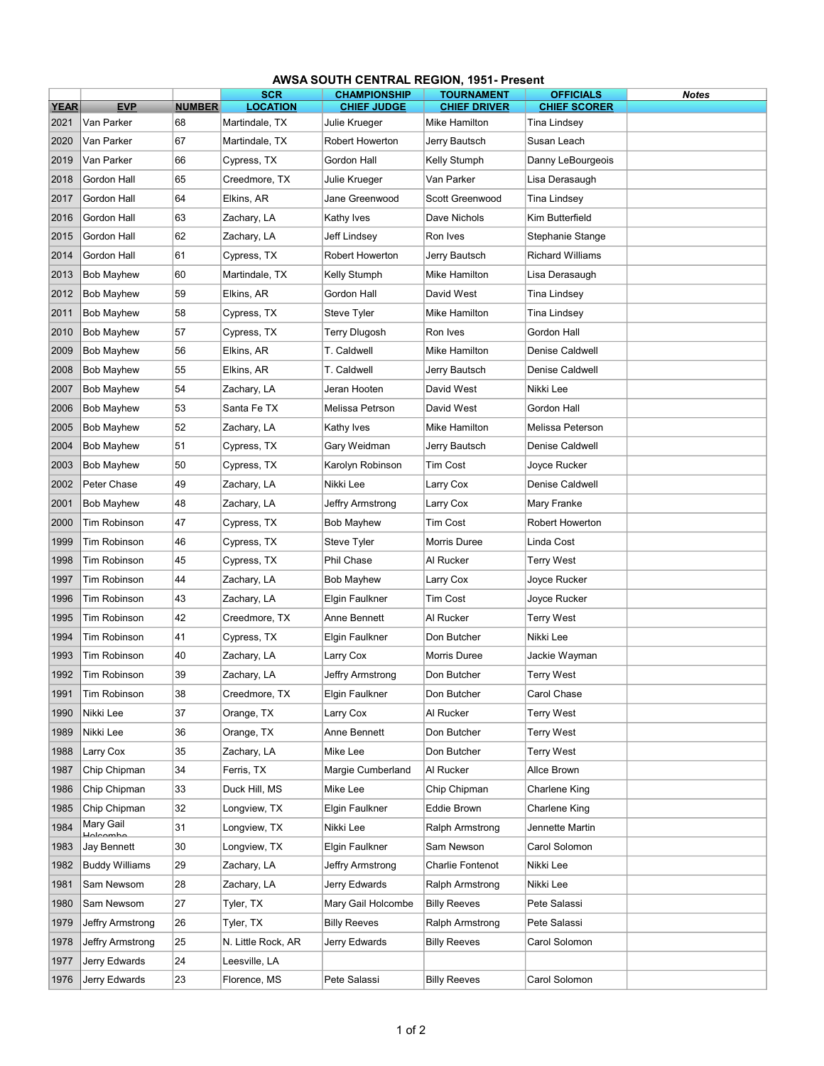|                     | <b>AWSA SOUTH CENTRAL REGION, 1951- Present</b> |                     |                                   |                                     |                                      |                                     |              |  |  |  |  |  |
|---------------------|-------------------------------------------------|---------------------|-----------------------------------|-------------------------------------|--------------------------------------|-------------------------------------|--------------|--|--|--|--|--|
|                     |                                                 |                     | <b>SCR</b>                        | <b>CHAMPIONSHIP</b>                 | <b>TOURNAMENT</b>                    | <b>OFFICIALS</b>                    | <b>Notes</b> |  |  |  |  |  |
| <b>YEAR</b><br>2021 | <b>EVP</b><br>Van Parker                        | <b>NUMBER</b><br>68 | <b>LOCATION</b><br>Martindale, TX | <b>CHIEF JUDGE</b><br>Julie Krueger | <b>CHIEF DRIVER</b><br>Mike Hamilton | <b>CHIEF SCORER</b><br>Tina Lindsey |              |  |  |  |  |  |
| 2020                | Van Parker                                      | 67                  | Martindale, TX                    | Robert Howerton                     | Jerry Bautsch                        | Susan Leach                         |              |  |  |  |  |  |
| 2019                | Van Parker                                      | 66                  | Cypress, TX                       | Gordon Hall                         | Kelly Stumph                         | Danny LeBourgeois                   |              |  |  |  |  |  |
| 2018                | Gordon Hall                                     | 65                  | Creedmore, TX                     | Julie Krueger                       | Van Parker                           | Lisa Derasaugh                      |              |  |  |  |  |  |
| 2017                | Gordon Hall                                     | 64                  | Elkins, AR                        | Jane Greenwood                      | Scott Greenwood                      | Tina Lindsey                        |              |  |  |  |  |  |
| 2016                | Gordon Hall                                     | 63                  | Zachary, LA                       | Kathy Ives                          | Dave Nichols                         | Kim Butterfield                     |              |  |  |  |  |  |
| 2015                | Gordon Hall                                     | 62                  | Zachary, LA                       | Jeff Lindsey                        | Ron Ives                             | Stephanie Stange                    |              |  |  |  |  |  |
| 2014                | Gordon Hall                                     | 61                  | Cypress, TX                       | Robert Howerton                     | Jerry Bautsch                        | <b>Richard Williams</b>             |              |  |  |  |  |  |
| 2013                | <b>Bob Mayhew</b>                               | 60                  | Martindale, TX                    | Kelly Stumph                        | Mike Hamilton                        | Lisa Derasaugh                      |              |  |  |  |  |  |
| 2012                | Bob Mayhew                                      | 59                  | Elkins, AR                        | Gordon Hall                         | David West                           | Tina Lindsey                        |              |  |  |  |  |  |
| 2011                | <b>Bob Mayhew</b>                               | 58                  | Cypress, TX                       | Steve Tyler                         | Mike Hamilton                        | Tina Lindsey                        |              |  |  |  |  |  |
| 2010                | <b>Bob Mayhew</b>                               | 57                  | Cypress, TX                       | Terry Dlugosh                       | Ron Ives                             | Gordon Hall                         |              |  |  |  |  |  |
| 2009                | <b>Bob Mayhew</b>                               | 56                  | Elkins, AR                        | T. Caldwell                         | Mike Hamilton                        | Denise Caldwell                     |              |  |  |  |  |  |
| 2008                | <b>Bob Mayhew</b>                               | 55                  | Elkins, AR                        | T. Caldwell                         | Jerry Bautsch                        | Denise Caldwell                     |              |  |  |  |  |  |
| 2007                | <b>Bob Mayhew</b>                               | 54                  | Zachary, LA                       | Jeran Hooten                        | David West                           | Nikki Lee                           |              |  |  |  |  |  |
| 2006                | <b>Bob Mayhew</b>                               | 53                  | Santa Fe TX                       | Melissa Petrson                     | David West                           | Gordon Hall                         |              |  |  |  |  |  |
| 2005                | <b>Bob Mayhew</b>                               | 52                  | Zachary, LA                       | Kathy Ives                          | Mike Hamilton                        | Melissa Peterson                    |              |  |  |  |  |  |
| 2004                | <b>Bob Mayhew</b>                               | 51                  | Cypress, TX                       | Gary Weidman                        | Jerry Bautsch                        | Denise Caldwell                     |              |  |  |  |  |  |
| 2003                | <b>Bob Mayhew</b>                               | 50                  | Cypress, TX                       | Karolyn Robinson                    | Tim Cost                             | Joyce Rucker                        |              |  |  |  |  |  |
| 2002                | Peter Chase                                     | 49                  | Zachary, LA                       | Nikki Lee                           | Larry Cox                            | Denise Caldwell                     |              |  |  |  |  |  |
| 2001                | <b>Bob Mayhew</b>                               | 48                  | Zachary, LA                       | Jeffry Armstrong                    | Larry Cox                            | Mary Franke                         |              |  |  |  |  |  |
| 2000                | Tim Robinson                                    | 47                  | Cypress, TX                       | Bob Mayhew                          | Tim Cost                             | Robert Howerton                     |              |  |  |  |  |  |
| 1999                | Tim Robinson                                    | 46                  | Cypress, TX                       | Steve Tyler                         | Morris Duree                         | Linda Cost                          |              |  |  |  |  |  |
| 1998                | Tim Robinson                                    | 45                  | Cypress, TX                       | Phil Chase                          | Al Rucker                            | Terry West                          |              |  |  |  |  |  |
| 1997                | Tim Robinson                                    | 44                  | Zachary, LA                       | Bob Mayhew                          | Larry Cox                            | Joyce Rucker                        |              |  |  |  |  |  |
| 1996                | Tim Robinson                                    | 43                  | Zachary, LA                       | Elgin Faulkner                      | <b>Tim Cost</b>                      | Joyce Rucker                        |              |  |  |  |  |  |
| 1995                | Tim Robinson                                    | 42                  | Creedmore, TX                     | Anne Bennett                        | Al Rucker                            | Terry West                          |              |  |  |  |  |  |
| 1994                | Tim Robinson                                    | 41                  | Cypress, TX                       | Elgin Faulkner                      | Don Butcher                          | Nikki Lee                           |              |  |  |  |  |  |
| 1993                | Tim Robinson                                    | 40                  | Zachary, LA                       | Larry Cox                           | Morris Duree                         | Jackie Wayman                       |              |  |  |  |  |  |
| 1992                | <b>Tim Robinson</b>                             | 39                  | Zacharv, LA                       | Jeffry Armstrong                    | Don Butcher                          | <b>Terry West</b>                   |              |  |  |  |  |  |
| 1991                | Tim Robinson                                    | 38                  | Creedmore, TX                     | Elgin Faulkner                      | Don Butcher                          | Carol Chase                         |              |  |  |  |  |  |
| 1990                | Nikki Lee                                       | 37                  | Orange, TX                        | Larry Cox                           | Al Rucker                            | Terry West                          |              |  |  |  |  |  |
| 1989                | Nikki Lee                                       | 36                  | Orange, TX                        | Anne Bennett                        | Don Butcher                          | Terry West                          |              |  |  |  |  |  |
| 1988                | Larry Cox                                       | 35                  | Zachary, LA                       | Mike Lee                            | Don Butcher                          | Terry West                          |              |  |  |  |  |  |
| 1987                | Chip Chipman                                    | 34                  | Ferris, TX                        | Margie Cumberland                   | Al Rucker                            | Allce Brown                         |              |  |  |  |  |  |
| 1986                | Chip Chipman                                    | 33                  | Duck Hill, MS                     | Mike Lee                            | Chip Chipman                         | Charlene King                       |              |  |  |  |  |  |
| 1985                | Chip Chipman                                    | 32                  | Longview, TX                      | Elgin Faulkner                      | Eddie Brown                          | Charlene King                       |              |  |  |  |  |  |
| 1984                | Mary Gail                                       | 31                  | Longview, TX                      | Nikki Lee                           | Ralph Armstrong                      | Jennette Martin                     |              |  |  |  |  |  |
| 1983                | Jay Bennett                                     | 30                  | Longview, TX                      | Elgin Faulkner                      | Sam Newson                           | Carol Solomon                       |              |  |  |  |  |  |
| 1982                | <b>Buddy Williams</b>                           | 29                  | Zachary, LA                       | Jeffry Armstrong                    | <b>Charlie Fontenot</b>              | Nikki Lee                           |              |  |  |  |  |  |
| 1981                | Sam Newsom                                      | 28                  | Zachary, LA                       | Jerry Edwards                       | Ralph Armstrong                      | Nikki Lee                           |              |  |  |  |  |  |
| 1980                | Sam Newsom                                      | 27                  | Tyler, TX                         | Mary Gail Holcombe                  | <b>Billy Reeves</b>                  | Pete Salassi                        |              |  |  |  |  |  |
| 1979                | Jeffry Armstrong                                | 26                  | Tyler, TX                         | <b>Billy Reeves</b>                 | Ralph Armstrong                      | Pete Salassi                        |              |  |  |  |  |  |
| 1978                | Jeffry Armstrong                                | 25                  | N. Little Rock, AR                | Jerry Edwards                       | Billy Reeves                         | Carol Solomon                       |              |  |  |  |  |  |
| 1977                | Jerry Edwards                                   | 24                  | Leesville, LA                     |                                     |                                      |                                     |              |  |  |  |  |  |
| 1976                | Jerry Edwards                                   | 23                  | Florence, MS                      | Pete Salassi                        | <b>Billy Reeves</b>                  | Carol Solomon                       |              |  |  |  |  |  |